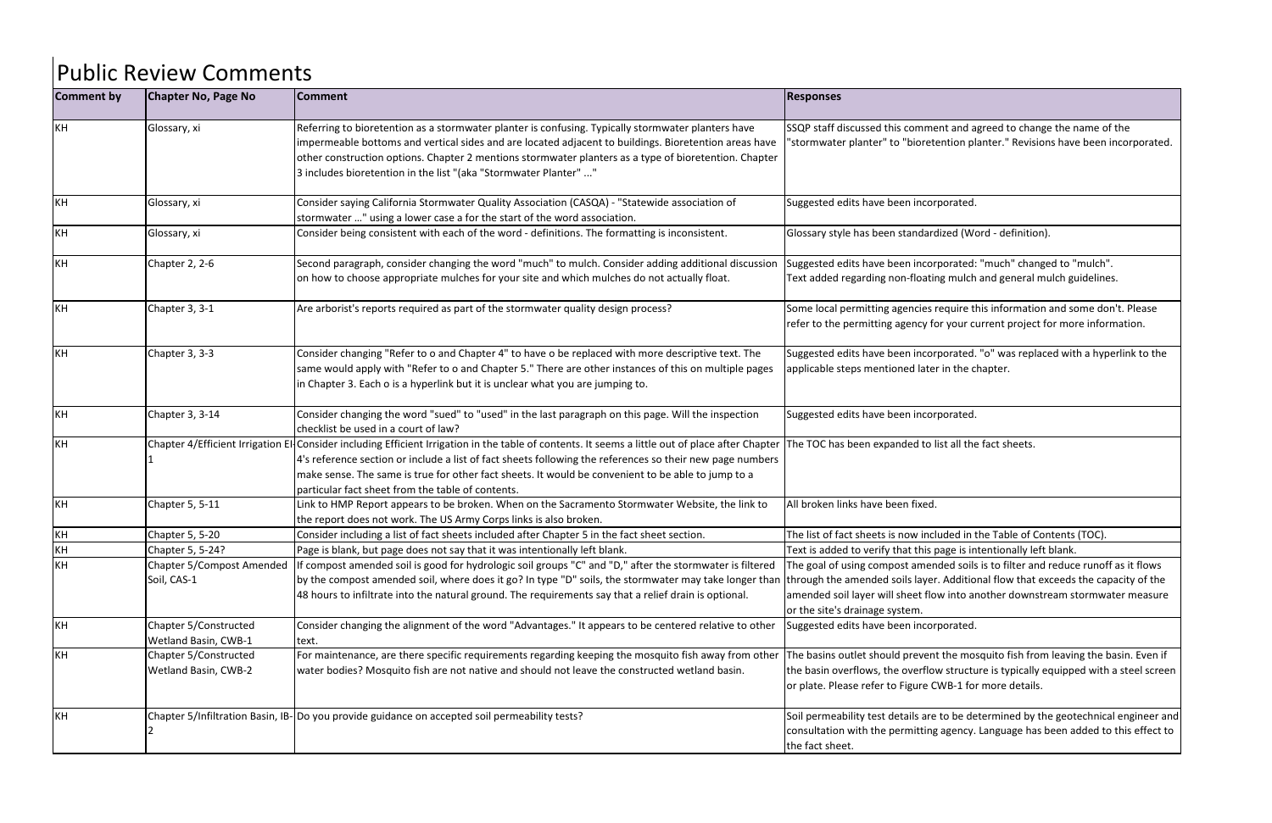| <b>Comment by</b> | <b>Chapter No, Page No</b>          | <b>Comment</b>                                                                                                                                                                         | <b>Responses</b>                                                      |
|-------------------|-------------------------------------|----------------------------------------------------------------------------------------------------------------------------------------------------------------------------------------|-----------------------------------------------------------------------|
| KH                | Glossary, xi                        | Referring to bioretention as a stormwater planter is confusing. Typically stormwater planters have                                                                                     | SSQP staff discussed this comme                                       |
|                   |                                     | impermeable bottoms and vertical sides and are located adjacent to buildings. Bioretention areas have                                                                                  | "stormwater planter" to "bioret                                       |
|                   |                                     | other construction options. Chapter 2 mentions stormwater planters as a type of bioretention. Chapter                                                                                  |                                                                       |
|                   |                                     | 3 includes bioretention in the list "(aka "Stormwater Planter" "                                                                                                                       |                                                                       |
| KH                | Glossary, xi                        | Consider saying California Stormwater Quality Association (CASQA) - "Statewide association of                                                                                          | Suggested edits have been incor                                       |
|                   |                                     | stormwater " using a lower case a for the start of the word association.                                                                                                               |                                                                       |
| KH                | Glossary, xi                        | Consider being consistent with each of the word - definitions. The formatting is inconsistent.                                                                                         | Glossary style has been standard                                      |
| KH                | Chapter 2, 2-6                      | Second paragraph, consider changing the word "much" to mulch. Consider adding additional discussion                                                                                    | Suggested edits have been incor                                       |
|                   |                                     | on how to choose appropriate mulches for your site and which mulches do not actually float.                                                                                            | Text added regarding non-floatir                                      |
| KH                | Chapter 3, 3-1                      | Are arborist's reports required as part of the stormwater quality design process?                                                                                                      | Some local permitting agencies i                                      |
|                   |                                     |                                                                                                                                                                                        | refer to the permitting agency fo                                     |
| KH                | Chapter 3, 3-3                      | Consider changing "Refer to o and Chapter 4" to have o be replaced with more descriptive text. The                                                                                     | Suggested edits have been incor                                       |
|                   |                                     | same would apply with "Refer to o and Chapter 5." There are other instances of this on multiple pages                                                                                  | applicable steps mentioned late                                       |
|                   |                                     | in Chapter 3. Each o is a hyperlink but it is unclear what you are jumping to.                                                                                                         |                                                                       |
| KH                | Chapter 3, 3-14                     | Consider changing the word "sued" to "used" in the last paragraph on this page. Will the inspection                                                                                    | Suggested edits have been incor                                       |
|                   |                                     | checklist be used in a court of law?                                                                                                                                                   |                                                                       |
| KH                | Chapter 4/Efficient Irrigation El   | Consider including Efficient Irrigation in the table of contents. It seems a little out of place after Chapter The TOC has been expanded to I                                          |                                                                       |
|                   |                                     | 4's reference section or include a list of fact sheets following the references so their new page numbers                                                                              |                                                                       |
|                   |                                     | make sense. The same is true for other fact sheets. It would be convenient to be able to jump to a                                                                                     |                                                                       |
|                   |                                     | particular fact sheet from the table of contents.                                                                                                                                      |                                                                       |
| KH                | Chapter 5, 5-11                     | Link to HMP Report appears to be broken. When on the Sacramento Stormwater Website, the link to                                                                                        | All broken links have been fixed.                                     |
| KH                |                                     | the report does not work. The US Army Corps links is also broken.<br>Consider including a list of fact sheets included after Chapter 5 in the fact sheet section.                      | The list of fact sheets is now incl                                   |
| KH                | Chapter 5, 5-20<br>Chapter 5, 5-24? |                                                                                                                                                                                        |                                                                       |
| KH                | <b>Chapter 5/Compost Amended</b>    | Page is blank, but page does not say that it was intentionally left blank.<br>If compost amended soil is good for hydrologic soil groups "C" and "D," after the stormwater is filtered | Text is added to verify that this p<br>The goal of using compost amen |
|                   | Soil, CAS-1                         | by the compost amended soil, where does it go? In type "D" soils, the stormwater may take longer than through the amended soils layer                                                  |                                                                       |
|                   |                                     | 48 hours to infiltrate into the natural ground. The requirements say that a relief drain is optional.                                                                                  | amended soil layer will sheet flo                                     |
|                   |                                     |                                                                                                                                                                                        | or the site's drainage system.                                        |
| KH                | Chapter 5/Constructed               | Consider changing the alignment of the word "Advantages." It appears to be centered relative to other                                                                                  | Suggested edits have been incor                                       |
|                   | Wetland Basin, CWB-1                | text.                                                                                                                                                                                  |                                                                       |
| KH                | Chapter 5/Constructed               | For maintenance, are there specific requirements regarding keeping the mosquito fish away from other                                                                                   | The basins outlet should prevent                                      |
|                   | Wetland Basin, CWB-2                | water bodies? Mosquito fish are not native and should not leave the constructed wetland basin.                                                                                         | the basin overflows, the overflow                                     |
|                   |                                     |                                                                                                                                                                                        | or plate. Please refer to Figure C                                    |
| KH                |                                     | Chapter 5/Infiltration Basin, IB- Do you provide guidance on accepted soil permeability tests?                                                                                         | Soil permeability test details are                                    |
|                   |                                     |                                                                                                                                                                                        | consultation with the permitting                                      |
|                   |                                     |                                                                                                                                                                                        | the fact sheet.                                                       |

ent and agreed to change the name of the tention planter." Revisions have been incorporated.

rporated.

rdized (Word - definition).

orporated: "much" changed to "mulch". ing mulch and general mulch guidelines.

require this information and some don't. Please for your current project for more information.

orporated. "o" was replaced with a hyperlink to the er in the chapter.

rporated.

list all the fact sheets.

cluded in the Table of Contents (TOC).

page is intentionally left blank.

nded soils is to filter and reduce runoff as it flows er. Additional flow that exceeds the capacity of the ow into another downstream stormwater measure

rporated.

nt the mosquito fish from leaving the basin. Even if bw structure is typically equipped with a steel screen CWB-1 for more details.

e to be determined by the geotechnical engineer and g agency. Language has been added to this effect to

## Public Review Comments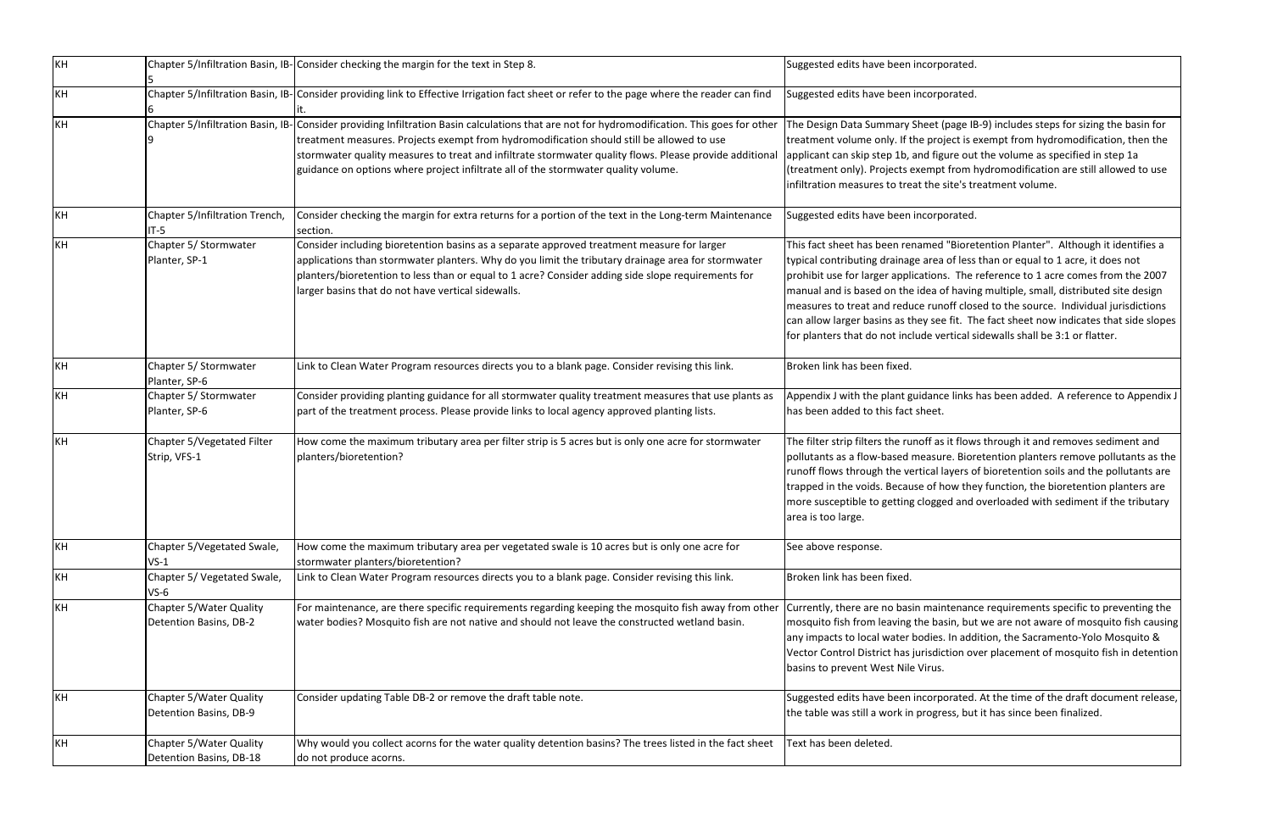| KH |                                                    | Chapter 5/Infiltration Basin, IB-Consider checking the margin for the text in Step 8.                                                                                                                                                                                                                                                                                                                                                      | Suggested edits have been incorporated.                                                                                                                                                                                                                                                                                  |
|----|----------------------------------------------------|--------------------------------------------------------------------------------------------------------------------------------------------------------------------------------------------------------------------------------------------------------------------------------------------------------------------------------------------------------------------------------------------------------------------------------------------|--------------------------------------------------------------------------------------------------------------------------------------------------------------------------------------------------------------------------------------------------------------------------------------------------------------------------|
| KH |                                                    | Chapter 5/Infiltration Basin, IB- Consider providing link to Effective Irrigation fact sheet or refer to the page where the reader can find                                                                                                                                                                                                                                                                                                | Suggested edits have been incorporated.                                                                                                                                                                                                                                                                                  |
| KH |                                                    | Chapter 5/Infiltration Basin, IB- Consider providing Infiltration Basin calculations that are not for hydromodification. This goes for other<br>treatment measures. Projects exempt from hydromodification should still be allowed to use<br>stormwater quality measures to treat and infiltrate stormwater quality flows. Please provide additional<br>guidance on options where project infiltrate all of the stormwater quality volume. | The Design Data Summary Sheet (page IE<br>treatment volume only. If the project is a<br>applicant can skip step 1b, and figure out<br>(treatment only). Projects exempt from h<br>infiltration measures to treat the site's tr                                                                                           |
| KH | Chapter 5/Infiltration Trench,<br>$IT-5$           | Consider checking the margin for extra returns for a portion of the text in the Long-term Maintenance<br>section.                                                                                                                                                                                                                                                                                                                          | Suggested edits have been incorporated.                                                                                                                                                                                                                                                                                  |
| KH | Chapter 5/ Stormwater<br>Planter, SP-1             | Consider including bioretention basins as a separate approved treatment measure for larger<br>applications than stormwater planters. Why do you limit the tributary drainage area for stormwater<br>planters/bioretention to less than or equal to 1 acre? Consider adding side slope requirements for<br>larger basins that do not have vertical sidewalls.                                                                               | This fact sheet has been renamed "Biore<br>typical contributing drainage area of less<br>prohibit use for larger applications. The<br>manual and is based on the idea of havin<br>measures to treat and reduce runoff clos<br>can allow larger basins as they see fit. Th<br>for planters that do not include vertical s |
| KH | Chapter 5/ Stormwater<br>Planter, SP-6             | Link to Clean Water Program resources directs you to a blank page. Consider revising this link.                                                                                                                                                                                                                                                                                                                                            | Broken link has been fixed.                                                                                                                                                                                                                                                                                              |
| KH | Chapter 5/ Stormwater<br>Planter, SP-6             | Consider providing planting guidance for all stormwater quality treatment measures that use plants as<br>part of the treatment process. Please provide links to local agency approved planting lists.                                                                                                                                                                                                                                      | Appendix J with the plant guidance links<br>has been added to this fact sheet.                                                                                                                                                                                                                                           |
| KH | Chapter 5/Vegetated Filter<br>Strip, VFS-1         | How come the maximum tributary area per filter strip is 5 acres but is only one acre for stormwater<br>planters/bioretention?                                                                                                                                                                                                                                                                                                              | The filter strip filters the runoff as it flow<br>pollutants as a flow-based measure. Bior<br>runoff flows through the vertical layers o<br>trapped in the voids. Because of how the<br>more susceptible to getting clogged and<br>area is too large.                                                                    |
| KH | Chapter 5/Vegetated Swale,<br>$VS-1$               | How come the maximum tributary area per vegetated swale is 10 acres but is only one acre for<br>stormwater planters/bioretention?                                                                                                                                                                                                                                                                                                          | See above response.                                                                                                                                                                                                                                                                                                      |
| KH | Chapter 5/ Vegetated Swale,<br>$VS-6$              | Link to Clean Water Program resources directs you to a blank page. Consider revising this link.                                                                                                                                                                                                                                                                                                                                            | Broken link has been fixed.                                                                                                                                                                                                                                                                                              |
| KH | Chapter 5/Water Quality<br>Detention Basins, DB-2  | For maintenance, are there specific requirements regarding keeping the mosquito fish away from other<br>water bodies? Mosquito fish are not native and should not leave the constructed wetland basin.                                                                                                                                                                                                                                     | Currently, there are no basin maintenand<br>mosquito fish from leaving the basin, but<br>any impacts to local water bodies. In add<br>Vector Control District has jurisdiction ov<br>basins to prevent West Nile Virus.                                                                                                  |
| KH | Chapter 5/Water Quality<br>Detention Basins, DB-9  | Consider updating Table DB-2 or remove the draft table note.                                                                                                                                                                                                                                                                                                                                                                               | Suggested edits have been incorporated.<br>the table was still a work in progress, but                                                                                                                                                                                                                                   |
| KH | Chapter 5/Water Quality<br>Detention Basins, DB-18 | Why would you collect acorns for the water quality detention basins? The trees listed in the fact sheet<br>do not produce acorns.                                                                                                                                                                                                                                                                                                          | Text has been deleted.                                                                                                                                                                                                                                                                                                   |

rporated.

et (page IB-9) includes steps for sizing the basin for roject is exempt from hydromodification, then the figure out the volume as specified in step 1a npt from hydromodification are still allowed to use infiltration measures the site's treatment volume.

rporated.

ed "Bioretention Planter". Although it identifies a tea of less than or equal to 1 acre, it does not pns. The reference to 1 acre comes from the 2007 i of having multiple, small, distributed site design unoff closed to the source. Individual jurisdictions see fit. The fact sheet now indicates that side slopes vertical sidewalls shall be 3:1 or flatter.

Ince links has been added. A reference to Appendix J

as it flows through it and removes sediment and sure. Bioretention planters remove pollutants as the al layers of bioretention soils and the pollutants are f how they function, the bioretention planters are gged and overloaded with sediment if the tributary

aintenance requirements specific to preventing the basin, but we are not aware of mosquito fish causing ies. In addition, the Sacramento-Yolo Mosquito & diction over placement of mosquito fish in detention

rporated. At the time of the draft document release, gress, but it has since been finalized.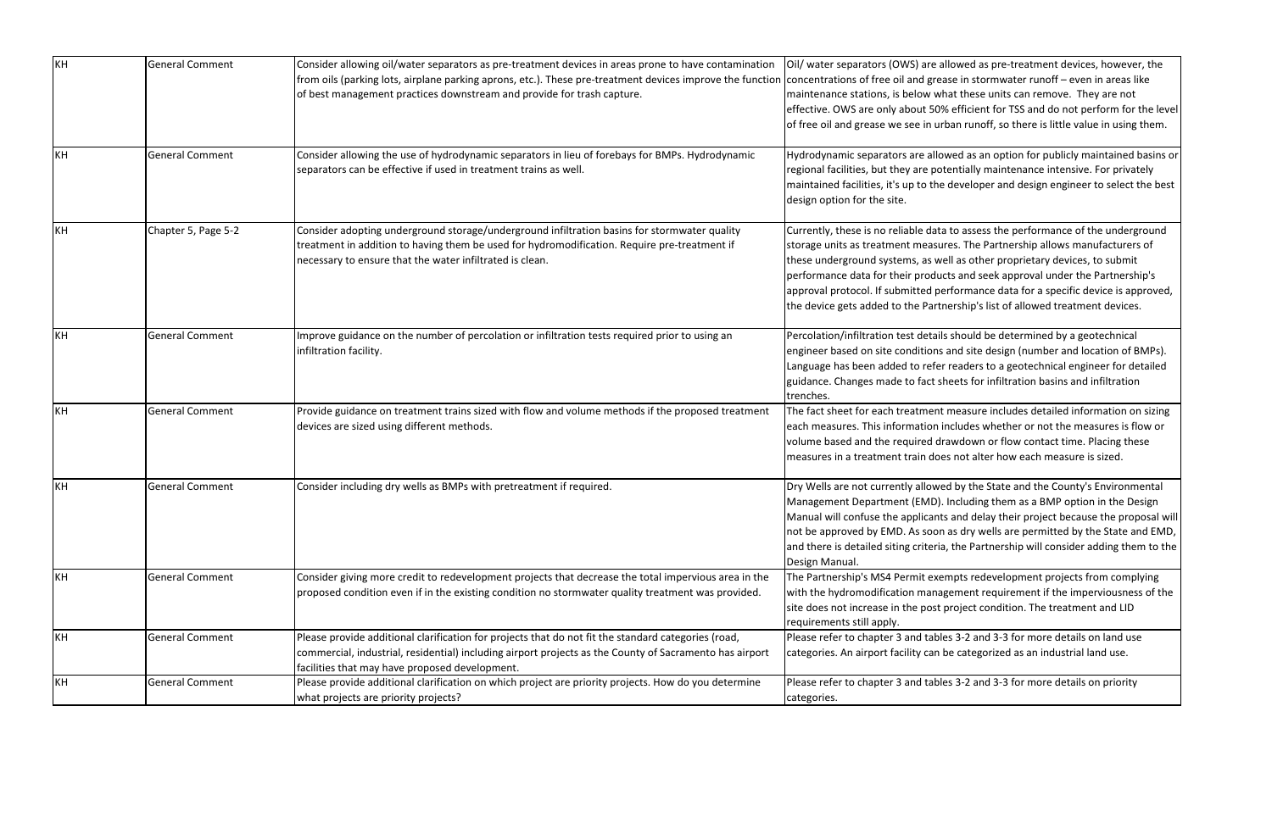| KH | <b>General Comment</b> | Consider allowing oil/water separators as pre-treatment devices in areas prone to have contamination<br>from oils (parking lots, airplane parking aprons, etc.). These pre-treatment devices improve the function concentrations of free oil and g<br>of best management practices downstream and provide for trash capture. | Oil/ water separators (OWS) are<br>maintenance stations, is below<br>effective. OWS are only about 5<br>of free oil and grease we see in                                                                       |
|----|------------------------|------------------------------------------------------------------------------------------------------------------------------------------------------------------------------------------------------------------------------------------------------------------------------------------------------------------------------|----------------------------------------------------------------------------------------------------------------------------------------------------------------------------------------------------------------|
| KH | <b>General Comment</b> | Consider allowing the use of hydrodynamic separators in lieu of forebays for BMPs. Hydrodynamic<br>separators can be effective if used in treatment trains as well.                                                                                                                                                          | Hydrodynamic separators are al<br>regional facilities, but they are p<br>maintained facilities, it's up to t<br>design option for the site.                                                                    |
| KH | Chapter 5, Page 5-2    | Consider adopting underground storage/underground infiltration basins for stormwater quality<br>treatment in addition to having them be used for hydromodification. Require pre-treatment if<br>necessary to ensure that the water infiltrated is clean.                                                                     | Currently, these is no reliable da<br>storage units as treatment mea<br>these underground systems, as<br>performance data for their prod<br>approval protocol. If submitted<br>the device gets added to the Pa |
| KH | <b>General Comment</b> | Improve guidance on the number of percolation or infiltration tests required prior to using an<br>infiltration facility.                                                                                                                                                                                                     | Percolation/infiltration test deta<br>engineer based on site conditio<br>Language has been added to ret<br>guidance. Changes made to fact<br>trenches.                                                         |
| KH | <b>General Comment</b> | Provide guidance on treatment trains sized with flow and volume methods if the proposed treatment<br>devices are sized using different methods.                                                                                                                                                                              | The fact sheet for each treatme<br>each measures. This informatio<br>volume based and the required<br>measures in a treatment train d                                                                          |
| KH | <b>General Comment</b> | Consider including dry wells as BMPs with pretreatment if required.                                                                                                                                                                                                                                                          | Dry Wells are not currently alloy<br>Management Department (EMI<br>Manual will confuse the applica<br>not be approved by EMD. As so<br>and there is detailed siting crite<br>Design Manual.                    |
| KH | <b>General Comment</b> | Consider giving more credit to redevelopment projects that decrease the total impervious area in the<br>proposed condition even if in the existing condition no stormwater quality treatment was provided.                                                                                                                   | The Partnership's MS4 Permit e<br>with the hydromodification mar<br>site does not increase in the po:<br>requirements still apply.                                                                             |
| KH | <b>General Comment</b> | Please provide additional clarification for projects that do not fit the standard categories (road,<br>commercial, industrial, residential) including airport projects as the County of Sacramento has airport<br>facilities that may have proposed development.                                                             | Please refer to chapter 3 and ta<br>categories. An airport facility ca                                                                                                                                         |
| KH | <b>General Comment</b> | Please provide additional clarification on which project are priority projects. How do you determine<br>what projects are priority projects?                                                                                                                                                                                 | Please refer to chapter 3 and ta<br>categories.                                                                                                                                                                |

e allowed as pre-treatment devices, however, the rease in stormwater runoff – even in areas like what these units can remove. They are not 50% efficient for TSS and do not perform for the level urban runoff, so there is little value in using them.

Howed as an option for publicly maintained basins or potentially maintenance intensive. For privately the developer and design engineer to select the best

ata to assess the performance of the underground sures. The Partnership allows manufacturers of well as other proprietary devices, to submit ducts and seek approval under the Partnership's performance data for a specific device is approved, artnership's list of allowed treatment devices.

ails should be determined by a geotechnical Ins and site design (number and location of BMPs). fer readers to a geotechnical engineer for detailed guidance. Changets sheets for infiltration is sheets for infiltration

ent measure includes detailed information on sizing m includes whether or not the measures is flow or de drawdown or flow contact time. Placing these does not alter how each measure is sized.

Wed by the State and the County's Environmental D). Including them as a BMP option in the Design ants and delay their project because the proposal will on as dry wells are permitted by the State and EMD, eria, the Partnership will consider adding them to the

exempts redevelopment projects from complying nagement requirement if the imperviousness of the st project condition. The treatment and LID

ables 3-2 and 3-3 for more details on land use an be categorized as an industrial land use.

ables 3-2 and 3-3 for more details on priority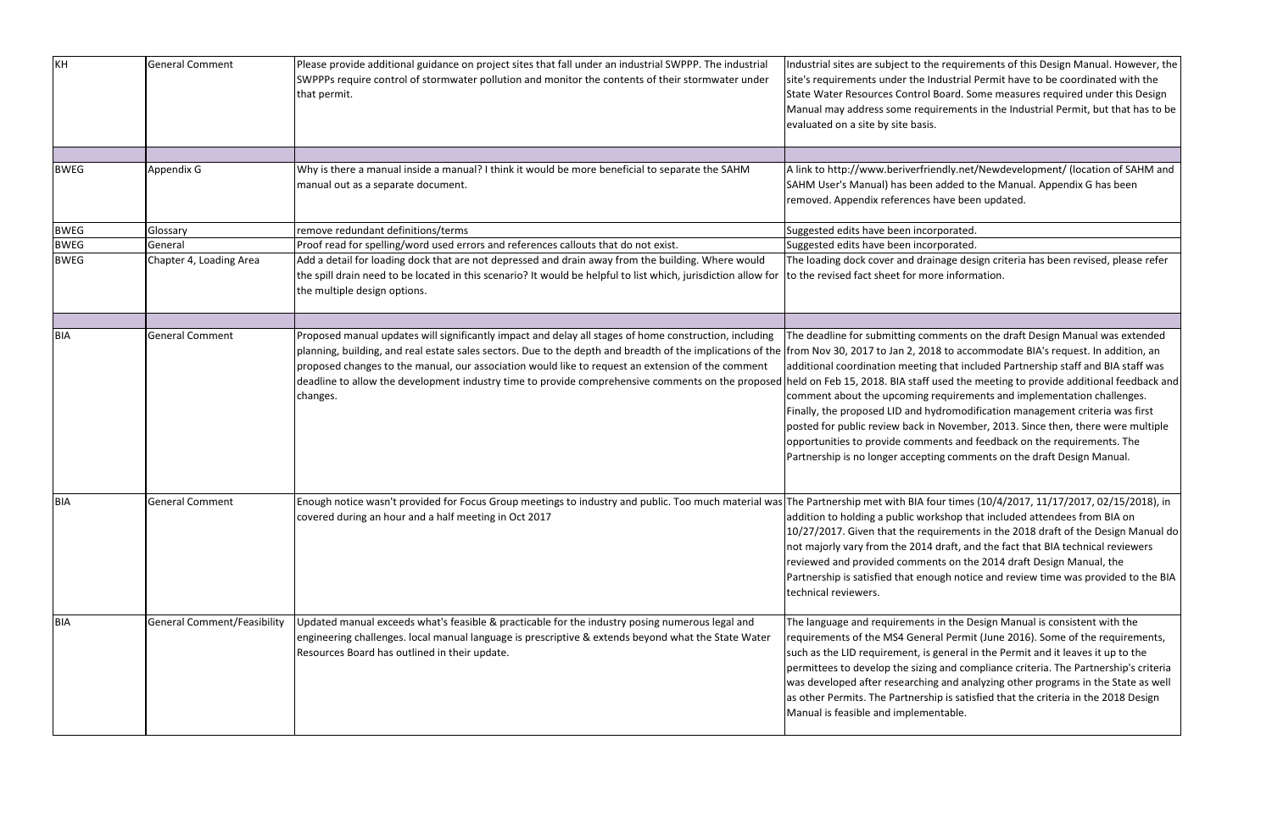| KH          | <b>General Comment</b>             | Please provide additional guidance on project sites that fall under an industrial SWPPP. The industrial<br>SWPPPs require control of stormwater pollution and monitor the contents of their stormwater under<br>that permit.                                                                                                                                                                                                                                                                                                   | Industrial sites are subject to the require<br>site's requirements under the Industrial I<br>State Water Resources Control Board. So<br>Manual may address some requirements<br>evaluated on a site by site basis.                                                                                            |
|-------------|------------------------------------|--------------------------------------------------------------------------------------------------------------------------------------------------------------------------------------------------------------------------------------------------------------------------------------------------------------------------------------------------------------------------------------------------------------------------------------------------------------------------------------------------------------------------------|---------------------------------------------------------------------------------------------------------------------------------------------------------------------------------------------------------------------------------------------------------------------------------------------------------------|
|             |                                    |                                                                                                                                                                                                                                                                                                                                                                                                                                                                                                                                |                                                                                                                                                                                                                                                                                                               |
| <b>BWEG</b> | Appendix G                         | Why is there a manual inside a manual? I think it would be more beneficial to separate the SAHM<br>manual out as a separate document.                                                                                                                                                                                                                                                                                                                                                                                          | A link to http://www.beriverfriendly.net/<br>SAHM User's Manual) has been added to<br>removed. Appendix references have bee                                                                                                                                                                                   |
| <b>BWEG</b> | Glossary                           | remove redundant definitions/terms                                                                                                                                                                                                                                                                                                                                                                                                                                                                                             | Suggested edits have been incorporated.                                                                                                                                                                                                                                                                       |
| <b>BWEG</b> | General                            | Proof read for spelling/word used errors and references callouts that do not exist.                                                                                                                                                                                                                                                                                                                                                                                                                                            | Suggested edits have been incorporated.                                                                                                                                                                                                                                                                       |
| <b>BWEG</b> | Chapter 4, Loading Area            | Add a detail for loading dock that are not depressed and drain away from the building. Where would<br>the spill drain need to be located in this scenario? It would be helpful to list which, jurisdiction allow for<br>the multiple design options.                                                                                                                                                                                                                                                                           | The loading dock cover and drainage des<br>to the revised fact sheet for more inform                                                                                                                                                                                                                          |
|             |                                    |                                                                                                                                                                                                                                                                                                                                                                                                                                                                                                                                |                                                                                                                                                                                                                                                                                                               |
| <b>BIA</b>  | <b>General Comment</b>             | Proposed manual updates will significantly impact and delay all stages of home construction, including<br>planning, building, and real estate sales sectors. Due to the depth and breadth of the implications of the from Nov 30, 2017 to Jan 2, 2018 to accc<br>proposed changes to the manual, our association would like to request an extension of the comment<br>deadline to allow the development industry time to provide comprehensive comments on the proposed held on Feb 15, 2018. BIA staff used the i<br>changes. | The deadline for submitting comments o<br>additional coordination meeting that incl<br>comment about the upcoming requirem<br>Finally, the proposed LID and hydromodi<br>posted for public review back in Novemb<br>opportunities to provide comments and<br>Partnership is no longer accepting comm          |
| BIA         | <b>General Comment</b>             | Enough notice wasn't provided for Focus Group meetings to industry and public. Too much material was The Partnership met with BIA four times<br>covered during an hour and a half meeting in Oct 2017                                                                                                                                                                                                                                                                                                                          | addition to holding a public workshop the<br>10/27/2017. Given that the requirement<br>not majorly vary from the 2014 draft, and<br>reviewed and provided comments on the<br>Partnership is satisfied that enough notic<br>technical reviewers.                                                               |
| <b>BIA</b>  | <b>General Comment/Feasibility</b> | Updated manual exceeds what's feasible & practicable for the industry posing numerous legal and<br>engineering challenges. local manual language is prescriptive & extends beyond what the State Water<br>Resources Board has outlined in their update.                                                                                                                                                                                                                                                                        | The language and requirements in the De<br>requirements of the MS4 General Permit<br>such as the LID requirement, is general ir<br>permittees to develop the sizing and con<br>was developed after researching and ana<br>as other Permits. The Partnership is satis<br>Manual is feasible and implementable. |

Industrial sequirements of this Design Manual. However, the ndustrial Permit have to be coordinated with the Board. Some measures required under this Design uirements in the Industrial Permit, but that has to be

endly.net/Newdevelopment/ (location of SAHM and added to the Manual. Appendix G has been have been updated.

inage design criteria has been revised, please refer ore information.

mments on the draft Design Manual was extended 18 to accommodate BIA's request. In addition, an g that included Partnership staff and BIA staff was used the meeting to provide additional feedback and requirements and implementation challenges. ydromodification management criteria was first Postem for public review back in November, 2013. Since then, there were multiple ents and feedback on the requirements. The ing comments on the draft Design Manual.

our times (10/4/2017, 11/17/2017, 02/15/2018), in rkshop that included attendees from BIA on uirements in the 2018 draft of the Design Manual do draft, and the fact that BIA technical reviewers nts on the 2014 draft Design Manual, the bugh notice and review time was provided to the BIA

s in the Design Manual is consistent with the ral Permit (June 2016). Some of the requirements, general in the Permit and it leaves it up to the g and compliance criteria. The Partnership's criteria g and analyzing other programs in the State as well hip is satisfied that the criteria in the 2018 Design entable.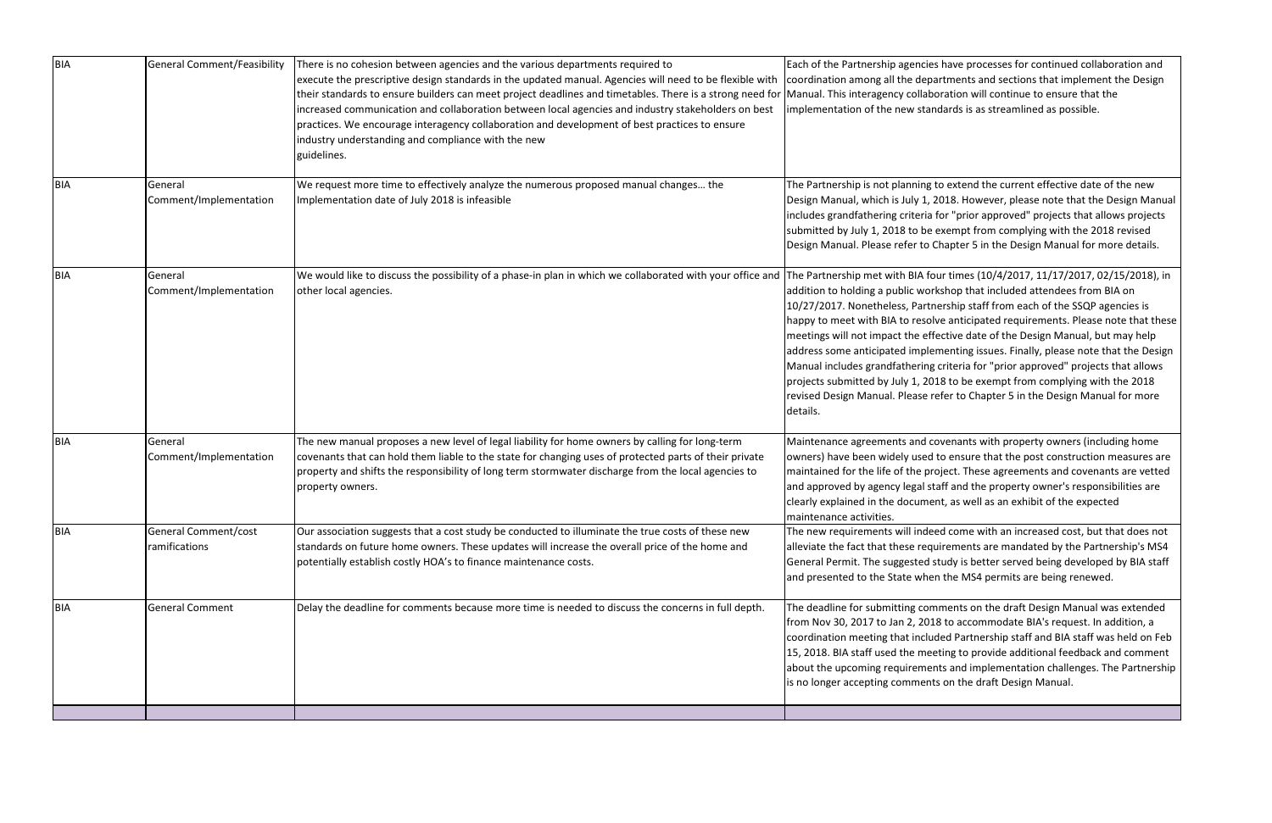| <b>BIA</b> | General Comment/Feasibility           | There is no cohesion between agencies and the various departments required to<br>execute the prescriptive design standards in the updated manual. Agencies will need to be flexible with<br>their standards to ensure builders can meet project deadlines and timetables. There is a strong need for<br>increased communication and collaboration between local agencies and industry stakeholders on best<br>practices. We encourage interagency collaboration and development of best practices to ensure<br>industry understanding and compliance with the new<br>guidelines. | Each of the Partnership agencie<br>coordination among all the dep<br>Manual. This interagency collab<br>implementation of the new star                                                                                                                                                                                              |
|------------|---------------------------------------|----------------------------------------------------------------------------------------------------------------------------------------------------------------------------------------------------------------------------------------------------------------------------------------------------------------------------------------------------------------------------------------------------------------------------------------------------------------------------------------------------------------------------------------------------------------------------------|-------------------------------------------------------------------------------------------------------------------------------------------------------------------------------------------------------------------------------------------------------------------------------------------------------------------------------------|
| BIA        | General<br>Comment/Implementation     | We request more time to effectively analyze the numerous proposed manual changes the<br>Implementation date of July 2018 is infeasible                                                                                                                                                                                                                                                                                                                                                                                                                                           | The Partnership is not planning<br>Design Manual, which is July 1,<br>includes grandfathering criteria<br>submitted by July 1, 2018 to be<br>Design Manual. Please refer to                                                                                                                                                         |
| <b>BIA</b> | General<br>Comment/Implementation     | We would like to discuss the possibility of a phase-in plan in which we collaborated with your office and<br>other local agencies.                                                                                                                                                                                                                                                                                                                                                                                                                                               | The Partnership met with BIA fo<br>addition to holding a public wor<br>10/27/2017. Nonetheless, Partr<br>happy to meet with BIA to resol<br>meetings will not impact the eff<br>address some anticipated imple<br>Manual includes grandfathering<br>projects submitted by July 1, 20<br>revised Design Manual. Please r<br>details. |
| <b>BIA</b> | General<br>Comment/Implementation     | The new manual proposes a new level of legal liability for home owners by calling for long-term<br>covenants that can hold them liable to the state for changing uses of protected parts of their private<br>property and shifts the responsibility of long term stormwater discharge from the local agencies to<br>property owners.                                                                                                                                                                                                                                             | Maintenance agreements and c<br>owners) have been widely used<br>maintained for the life of the pr<br>and approved by agency legal st<br>clearly explained in the docume<br>Imaintenance activities.                                                                                                                                |
| <b>BIA</b> | General Comment/cost<br>ramifications | Our association suggests that a cost study be conducted to illuminate the true costs of these new<br>standards on future home owners. These updates will increase the overall price of the home and<br>potentially establish costly HOA's to finance maintenance costs.                                                                                                                                                                                                                                                                                                          | The new requirements will inde<br>alleviate the fact that these req<br>General Permit. The suggested :<br>and presented to the State whe                                                                                                                                                                                            |
| BIA        | <b>General Comment</b>                | Delay the deadline for comments because more time is needed to discuss the concerns in full depth.                                                                                                                                                                                                                                                                                                                                                                                                                                                                               | The deadline for submitting con<br>from Nov 30, 2017 to Jan 2, 201<br>coordination meeting that inclu<br>15, 2018. BIA staff used the me<br>about the upcoming requiremer<br>is no longer accepting comment                                                                                                                         |
|            |                                       |                                                                                                                                                                                                                                                                                                                                                                                                                                                                                                                                                                                  |                                                                                                                                                                                                                                                                                                                                     |

es have processes for continued collaboration and artments and sections that implement the Design oration will continue to ensure that the ndards is as streamlined as possible.

to extend the current effective date of the new 2018. However, please note that the Design Manual ifor "prior approved" projects that allows projects exempt from complying with the 2018 revised Chapter 5 in the Design Manual for more details.

our times (10/4/2017, 11/17/2017, 02/15/2018), in rkshop that included attendees from BIA on nership staff from each of the SSQP agencies is Ive anticipated requirements. Please note that these fective date of the Design Manual, but may help ementing issues. Finally, please note that the Design criteria for "prior approved" projects that allows 018 to be exempt from complying with the 2018 refer to Chapter 5 in the Design Manual for more

covenants with property owners (including home I to ensure that the post construction measures are roject. These agreements and covenants are vetted taff and the property owner's responsibilities are ent, as well as an exhibit of the expected

eed come with an increased cost, but that does not juirements are mandated by the Partnership's MS4 study is better served being developed by BIA staff en the MS4 permits are being renewed.

mments on the draft Design Manual was extended 18 to accommodate BIA's request. In addition, a ded Partnership staff and BIA staff was held on Feb eting to provide additional feedback and comment nts and implementation challenges. The Partnership ts on the draft Design Manual.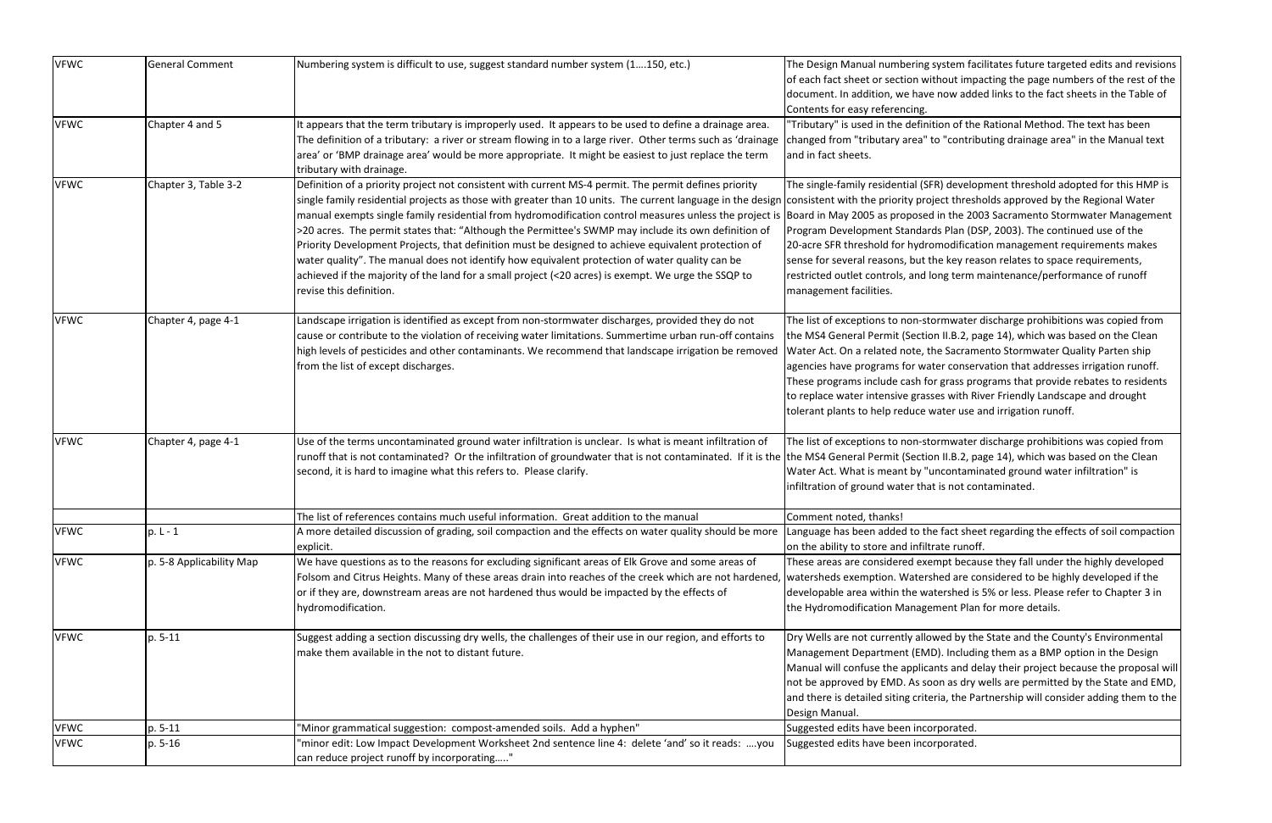| <b>VFWC</b> | <b>General Comment</b>   |                                                                                                                                                       |                                              |
|-------------|--------------------------|-------------------------------------------------------------------------------------------------------------------------------------------------------|----------------------------------------------|
|             |                          | Numbering system is difficult to use, suggest standard number system (1150, etc.)                                                                     | The Design Manual numbering system fa        |
|             |                          |                                                                                                                                                       | of each fact sheet or section without imp    |
|             |                          |                                                                                                                                                       | document. In addition, we have now add       |
|             |                          |                                                                                                                                                       | Contents for easy referencing.               |
| <b>VFWC</b> | Chapter 4 and 5          | It appears that the term tributary is improperly used. It appears to be used to define a drainage area.                                               | "Tributary" is used in the definition of the |
|             |                          | The definition of a tributary: a river or stream flowing in to a large river. Other terms such as 'drainage                                           | changed from "tributary area" to "contril    |
|             |                          | area' or 'BMP drainage area' would be more appropriate. It might be easiest to just replace the term                                                  | and in fact sheets.                          |
|             |                          | tributary with drainage.                                                                                                                              |                                              |
| <b>VFWC</b> | Chapter 3, Table 3-2     | Definition of a priority project not consistent with current MS-4 permit. The permit defines priority                                                 | The single-family residential (SFR) develo   |
|             |                          | single family residential projects as those with greater than 10 units. The current language in the design consistent with the priority project thres |                                              |
|             |                          | manual exempts single family residential from hydromodification control measures unless the project is                                                | Board in May 2005 as proposed in the 20      |
|             |                          | >20 acres. The permit states that: "Although the Permittee's SWMP may include its own definition of                                                   | Program Development Standards Plan (D        |
|             |                          | Priority Development Projects, that definition must be designed to achieve equivalent protection of                                                   | 20-acre SFR threshold for hydromodificat     |
|             |                          | water quality". The manual does not identify how equivalent protection of water quality can be                                                        | sense for several reasons, but the key rea   |
|             |                          | achieved if the majority of the land for a small project (<20 acres) is exempt. We urge the SSQP to                                                   | restricted outlet controls, and long term    |
|             |                          | revise this definition.                                                                                                                               | management facilities.                       |
|             |                          |                                                                                                                                                       |                                              |
| <b>VFWC</b> | Chapter 4, page 4-1      | Landscape irrigation is identified as except from non-stormwater discharges, provided they do not                                                     | The list of exceptions to non-stormwater     |
|             |                          | cause or contribute to the violation of receiving water limitations. Summertime urban run-off contains                                                | the MS4 General Permit (Section II.B.2, p    |
|             |                          | high levels of pesticides and other contaminants. We recommend that landscape irrigation be removed                                                   | Water Act. On a related note, the Sacran     |
|             |                          | from the list of except discharges.                                                                                                                   | agencies have programs for water conser      |
|             |                          |                                                                                                                                                       | These programs include cash for grass pr     |
|             |                          |                                                                                                                                                       | to replace water intensive grasses with R    |
|             |                          |                                                                                                                                                       | tolerant plants to help reduce water use     |
|             |                          |                                                                                                                                                       |                                              |
| <b>VFWC</b> | Chapter 4, page 4-1      | Use of the terms uncontaminated ground water infiltration is unclear. Is what is meant infiltration of                                                | The list of exceptions to non-stormwater     |
|             |                          | runoff that is not contaminated? Or the infiltration of groundwater that is not contaminated. If it is the the MS4 General Permit (Section II.B.2, p  |                                              |
|             |                          | second, it is hard to imagine what this refers to. Please clarify.                                                                                    | Water Act. What is meant by "uncontam        |
|             |                          |                                                                                                                                                       | infiltration of ground water that is not co  |
|             |                          |                                                                                                                                                       |                                              |
|             |                          | The list of references contains much useful information. Great addition to the manual                                                                 | Comment noted, thanks!                       |
| <b>VFWC</b> | $p. L - 1$               | A more detailed discussion of grading, soil compaction and the effects on water quality should be more                                                | Language has been added to the fact she      |
|             |                          | explicit.                                                                                                                                             | on the ability to store and infiltrate runot |
| <b>VFWC</b> | p. 5-8 Applicability Map | We have questions as to the reasons for excluding significant areas of Elk Grove and some areas of                                                    | These areas are considered exempt beca       |
|             |                          | Folsom and Citrus Heights. Many of these areas drain into reaches of the creek which are not hardened, watersheds exemption. Watershed are c          |                                              |
|             |                          | or if they are, downstream areas are not hardened thus would be impacted by the effects of                                                            | developable area within the watershed is     |
|             |                          | hydromodification.                                                                                                                                    | the Hydromodification Management Plar        |
|             |                          |                                                                                                                                                       |                                              |
| <b>VFWC</b> | p. 5-11                  | Suggest adding a section discussing dry wells, the challenges of their use in our region, and efforts to                                              | Dry Wells are not currently allowed by th    |
|             |                          | make them available in the not to distant future.                                                                                                     | Management Department (EMD). Includi         |
|             |                          |                                                                                                                                                       | Manual will confuse the applicants and d     |
|             |                          |                                                                                                                                                       | not be approved by EMD. As soon as dry       |
|             |                          |                                                                                                                                                       | and there is detailed siting criteria, the P |
|             |                          |                                                                                                                                                       | Design Manual.                               |
| <b>VFWC</b> | p. 5-11                  | 'Minor grammatical suggestion: compost-amended soils. Add a hyphen"                                                                                   | Suggested edits have been incorporated.      |
| <b>VFWC</b> | p. 5-16                  | 'minor edit: Low Impact Development Worksheet 2nd sentence line 4: delete 'and' so it reads: you                                                      | Suggested edits have been incorporated.      |
|             |                          | can reduce project runoff by incorporating"                                                                                                           |                                              |
|             |                          |                                                                                                                                                       |                                              |

system facilitates future targeted edits and revisions thout impacting the page numbers of the rest of the now added links to the fact sheets in the Table of

tion of the Rational Method. The text has been to "contributing drainage area" in the Manual text

FR) development threshold adopted for this HMP is ject thresholds approved by the Regional Water I in the 2003 Sacramento Stormwater Management ds Plan (DSP, 2003). The continued use of the 20 amodification management requirements makes he key reason relates to space requirements, ong term maintenance/performance of runoff

ormwater discharge prohibitions was copied from on II.B.2, page 14), which was based on the Clean e Sacramento Stormwater Quality Parten ship ter conservation that addresses irrigation runoff. r grass programs that provide rebates to residents the ses with River Friendly Landscape and drought vater use and irrigation runoff.

ormwater discharge prohibitions was copied from on II.B.2, page 14), which was based on the Clean Incontaminated ground water infiltration" is is not contaminated.

le fact sheet regarding the effects of soil compaction rate runoff.

mpt because they fall under the highly developed hed are considered to be highly developed if the tershed is 5% or less. Please refer to Chapter 3 in ment Plan for more details.

wed by the State and the County's Environmental D). Including them as a BMP option in the Design Ints and delay their project because the proposal will on as dry wells are permitted by the State and EMD, ria, the Partnership will consider adding them to the

rporated.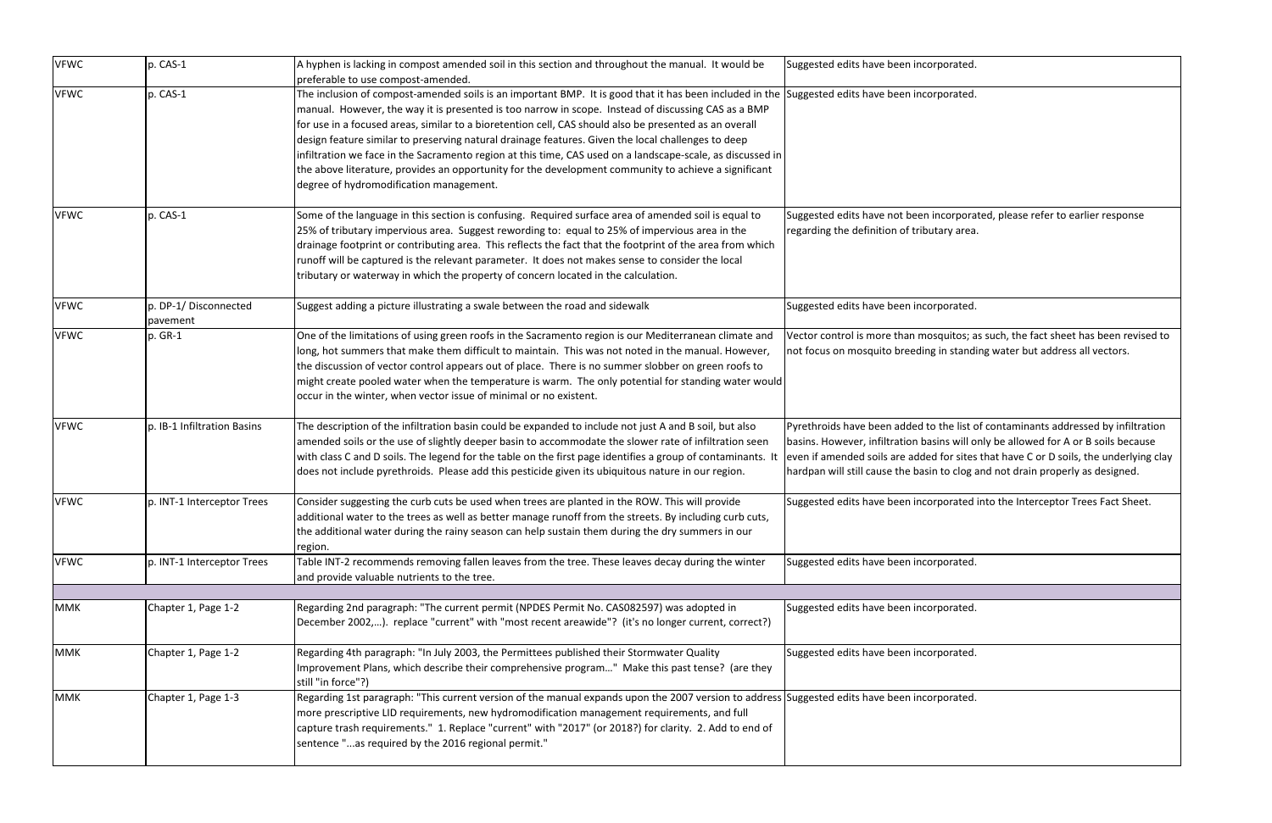| <b>VFWC</b> | p. CAS-1                         | A hyphen is lacking in compost amended soil in this section and throughout the manual. It would be<br>preferable to use compost-amended.                                                                                                                                                                                                                                                                                                                                                                                                                                                                                                                                                                                                | Suggested edits have been incorporated.                                                                                                                                                |
|-------------|----------------------------------|-----------------------------------------------------------------------------------------------------------------------------------------------------------------------------------------------------------------------------------------------------------------------------------------------------------------------------------------------------------------------------------------------------------------------------------------------------------------------------------------------------------------------------------------------------------------------------------------------------------------------------------------------------------------------------------------------------------------------------------------|----------------------------------------------------------------------------------------------------------------------------------------------------------------------------------------|
| <b>VFWC</b> | p. CAS-1                         | The inclusion of compost-amended soils is an important BMP. It is good that it has been included in the Suggested edits have been incorporated.<br>manual. However, the way it is presented is too narrow in scope. Instead of discussing CAS as a BMP<br>for use in a focused areas, similar to a bioretention cell, CAS should also be presented as an overall<br>design feature similar to preserving natural drainage features. Given the local challenges to deep<br>infiltration we face in the Sacramento region at this time, CAS used on a landscape-scale, as discussed in<br>the above literature, provides an opportunity for the development community to achieve a significant<br>degree of hydromodification management. |                                                                                                                                                                                        |
| <b>VFWC</b> | p. CAS-1                         | Some of the language in this section is confusing. Required surface area of amended soil is equal to<br>25% of tributary impervious area. Suggest rewording to: equal to 25% of impervious area in the<br>drainage footprint or contributing area. This reflects the fact that the footprint of the area from which<br>runoff will be captured is the relevant parameter. It does not makes sense to consider the local<br>tributary or waterway in which the property of concern located in the calculation.                                                                                                                                                                                                                           | Suggested edits have not been incorpora<br>regarding the definition of tributary area                                                                                                  |
| <b>VFWC</b> | p. DP-1/Disconnected<br>pavement | Suggest adding a picture illustrating a swale between the road and sidewalk                                                                                                                                                                                                                                                                                                                                                                                                                                                                                                                                                                                                                                                             | Suggested edits have been incorporated.                                                                                                                                                |
| <b>VFWC</b> | p. GR-1                          | One of the limitations of using green roofs in the Sacramento region is our Mediterranean climate and<br>long, hot summers that make them difficult to maintain. This was not noted in the manual. However,<br>the discussion of vector control appears out of place. There is no summer slobber on green roofs to<br>might create pooled water when the temperature is warm. The only potential for standing water would<br>occur in the winter, when vector issue of minimal or no existent.                                                                                                                                                                                                                                          | Vector control is more than mosquitos; a<br>not focus on mosquito breeding in stand                                                                                                    |
| <b>VFWC</b> | p. IB-1 Infiltration Basins      | The description of the infiltration basin could be expanded to include not just A and B soil, but also<br>amended soils or the use of slightly deeper basin to accommodate the slower rate of infiltration seen<br>with class C and D soils. The legend for the table on the first page identifies a group of contaminants. It<br>does not include pyrethroids. Please add this pesticide given its ubiquitous nature in our region.                                                                                                                                                                                                                                                                                                    | Pyrethroids have been added to the list of<br>basins. However, infiltration basins will o<br>even if amended soils are added for sites<br>hardpan will still cause the basin to clog a |
| <b>VFWC</b> | p. INT-1 Interceptor Trees       | Consider suggesting the curb cuts be used when trees are planted in the ROW. This will provide<br>additional water to the trees as well as better manage runoff from the streets. By including curb cuts,<br>the additional water during the rainy season can help sustain them during the dry summers in our<br>region.                                                                                                                                                                                                                                                                                                                                                                                                                | Suggested edits have been incorporated                                                                                                                                                 |
| <b>VFWC</b> | p. INT-1 Interceptor Trees       | Table INT-2 recommends removing fallen leaves from the tree. These leaves decay during the winter<br>and provide valuable nutrients to the tree.                                                                                                                                                                                                                                                                                                                                                                                                                                                                                                                                                                                        | Suggested edits have been incorporated.                                                                                                                                                |
| <b>MMK</b>  | Chapter 1, Page 1-2              | Regarding 2nd paragraph: "The current permit (NPDES Permit No. CAS082597) was adopted in<br>December 2002,). replace "current" with "most recent areawide"? (it's no longer current, correct?)                                                                                                                                                                                                                                                                                                                                                                                                                                                                                                                                          | Suggested edits have been incorporated.                                                                                                                                                |
| <b>MMK</b>  | Chapter 1, Page 1-2              | Regarding 4th paragraph: "In July 2003, the Permittees published their Stormwater Quality<br>Improvement Plans, which describe their comprehensive program" Make this past tense? (are they<br>still "in force"?)                                                                                                                                                                                                                                                                                                                                                                                                                                                                                                                       | Suggested edits have been incorporated.                                                                                                                                                |
| <b>MMK</b>  | Chapter 1, Page 1-3              | Regarding 1st paragraph: "This current version of the manual expands upon the 2007 version to address Suggested edits have been incorporated.<br>more prescriptive LID requirements, new hydromodification management requirements, and full<br>capture trash requirements." 1. Replace "current" with "2017" (or 2018?) for clarity. 2. Add to end of<br>sentence "as required by the 2016 regional permit."                                                                                                                                                                                                                                                                                                                           |                                                                                                                                                                                        |

rporated.

rporated.

incorporated, please refer to earlier response utary area.

osquitos; as such, the fact sheet has been revised to the standing water but address all vectors.

 $\mathbf b$  the list of contaminants addressed by infiltration isins will only be allowed for A or B soils because ed for sites that have C or D soils, the underlying clay in to clog and not drain properly as designed.

orporated into the Interceptor Trees Fact Sheet.

orporated.

rporated.

orporated.

orporated.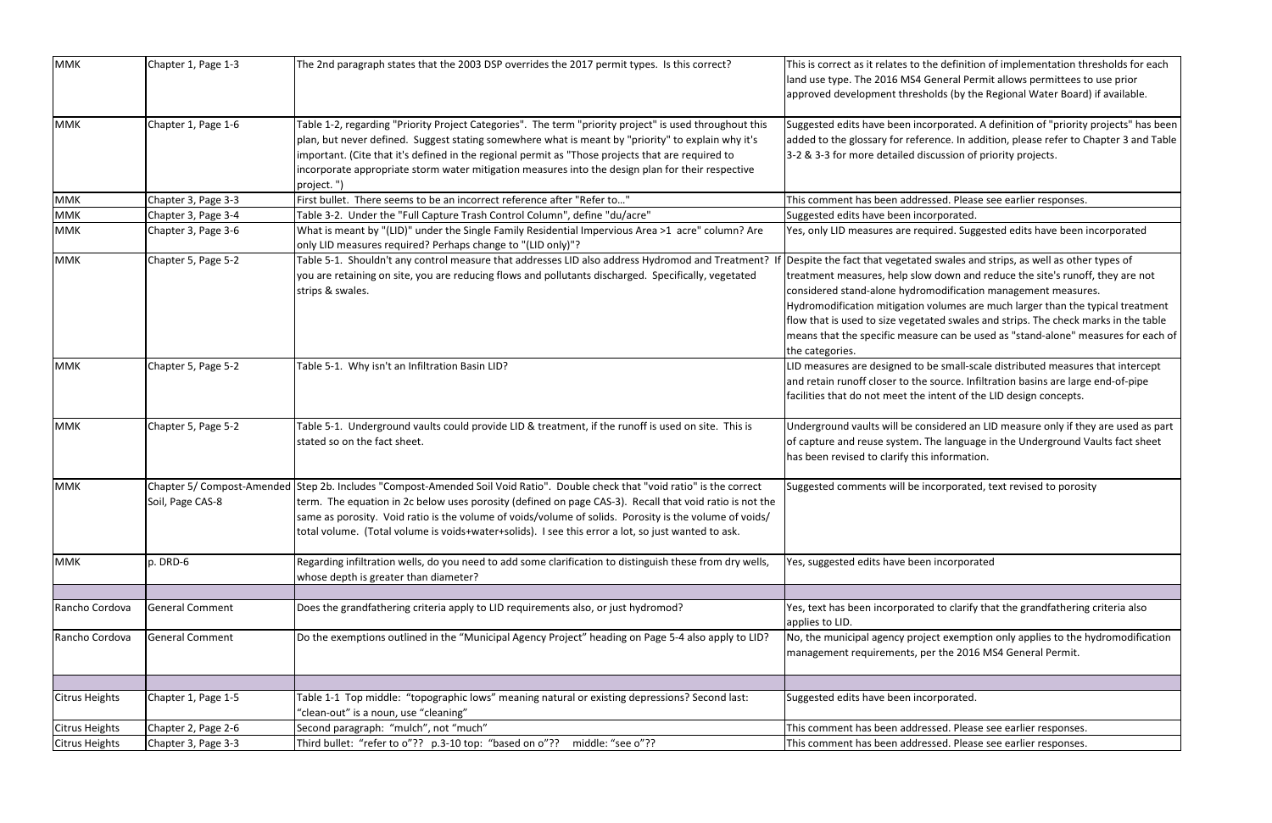| <b>MMK</b>            | Chapter 1, Page 1-3    | The 2nd paragraph states that the 2003 DSP overrides the 2017 permit types. Is this correct?                                                  | This is correct as it relates to the definitio                |
|-----------------------|------------------------|-----------------------------------------------------------------------------------------------------------------------------------------------|---------------------------------------------------------------|
|                       |                        |                                                                                                                                               | land use type. The 2016 MS4 General Per                       |
|                       |                        |                                                                                                                                               | approved development thresholds (by th                        |
| <b>MMK</b>            | Chapter 1, Page 1-6    | Table 1-2, regarding "Priority Project Categories". The term "priority project" is used throughout this                                       | Suggested edits have been incorporated.                       |
|                       |                        | plan, but never defined. Suggest stating somewhere what is meant by "priority" to explain why it's                                            | added to the glossary for reference. In a                     |
|                       |                        | important. (Cite that it's defined in the regional permit as "Those projects that are required to                                             | 3-2 & 3-3 for more detailed discussion of                     |
|                       |                        | incorporate appropriate storm water mitigation measures into the design plan for their respective<br>project.")                               |                                                               |
| <b>MMK</b>            | Chapter 3, Page 3-3    | First bullet. There seems to be an incorrect reference after "Refer to"                                                                       | This comment has been addressed. Pleas                        |
| <b>MMK</b>            | Chapter 3, Page 3-4    | Table 3-2. Under the "Full Capture Trash Control Column", define "du/acre"                                                                    | Suggested edits have been incorporated.                       |
| <b>MMK</b>            | Chapter 3, Page 3-6    | What is meant by "(LID)" under the Single Family Residential Impervious Area >1 acre" column? Are                                             | Yes, only LID measures are required. Sug                      |
|                       |                        | only LID measures required? Perhaps change to "(LID only)"?                                                                                   |                                                               |
| <b>MMK</b>            | Chapter 5, Page 5-2    | Table 5-1. Shouldn't any control measure that addresses LID also address Hydromod and Treatment? If Despite the fact that vegetated swales ar |                                                               |
|                       |                        | you are retaining on site, you are reducing flows and pollutants discharged. Specifically, vegetated                                          | treatment measures, help slow down and                        |
|                       |                        | strips & swales.                                                                                                                              | considered stand-alone hydromodificatio                       |
|                       |                        |                                                                                                                                               | Hydromodification mitigation volumes a                        |
|                       |                        |                                                                                                                                               | flow that is used to size vegetated swales                    |
|                       |                        |                                                                                                                                               | means that the specific measure can be u                      |
|                       |                        |                                                                                                                                               | the categories.                                               |
| <b>MMK</b>            | Chapter 5, Page 5-2    | Table 5-1. Why isn't an Infiltration Basin LID?                                                                                               | LID measures are designed to be small-so                      |
|                       |                        |                                                                                                                                               | and retain runoff closer to the source. In                    |
|                       |                        |                                                                                                                                               | facilities that do not meet the intent of tl                  |
|                       |                        |                                                                                                                                               |                                                               |
| <b>MMK</b>            | Chapter 5, Page 5-2    | Table 5-1. Underground vaults could provide LID & treatment, if the runoff is used on site. This is                                           | Underground vaults will be considered a                       |
|                       |                        | stated so on the fact sheet.                                                                                                                  | of capture and reuse system. The langua                       |
|                       |                        |                                                                                                                                               | has been revised to clarify this information                  |
| <b>MMK</b>            |                        | Chapter 5/ Compost-Amended Step 2b. Includes "Compost-Amended Soil Void Ratio". Double check that "void ratio" is the correct                 | Suggested comments will be incorporate                        |
|                       | Soil, Page CAS-8       | term. The equation in 2c below uses porosity (defined on page CAS-3). Recall that void ratio is not the                                       |                                                               |
|                       |                        | same as porosity. Void ratio is the volume of voids/volume of solids. Porosity is the volume of voids/                                        |                                                               |
|                       |                        | total volume. (Total volume is voids+water+solids). I see this error a lot, so just wanted to ask.                                            |                                                               |
| <b>MMK</b>            | p. DRD-6               | Regarding infiltration wells, do you need to add some clarification to distinguish these from dry wells,                                      | Yes, suggested edits have been incorpora                      |
|                       |                        | whose depth is greater than diameter?                                                                                                         |                                                               |
|                       |                        |                                                                                                                                               |                                                               |
| Rancho Cordova        | <b>General Comment</b> | Does the grandfathering criteria apply to LID requirements also, or just hydromod?                                                            | Yes, text has been incorporated to clarify<br>applies to LID. |
| Rancho Cordova        | General Comment        | Do the exemptions outlined in the "Municipal Agency Project" heading on Page 5-4 also apply to LID?                                           | No, the municipal agency project exempt                       |
|                       |                        |                                                                                                                                               | management requirements, per the 2016                         |
|                       |                        |                                                                                                                                               |                                                               |
| <b>Citrus Heights</b> | Chapter 1, Page 1-5    | Table 1-1 Top middle: "topographic lows" meaning natural or existing depressions? Second last:                                                | Suggested edits have been incorporated.                       |
|                       |                        | "clean-out" is a noun, use "cleaning"                                                                                                         |                                                               |
| <b>Citrus Heights</b> | Chapter 2, Page 2-6    | Second paragraph: "mulch", not "much"                                                                                                         | This comment has been addressed. Pleas                        |
| <b>Citrus Heights</b> | Chapter 3, Page 3-3    | Third bullet: "refer to o"?? p.3-10 top: "based on o"??<br>middle: "see o"??                                                                  | This comment has been addressed. Pleas                        |

e definition of implementation thresholds for each eneral Permit allows permittees to use prior blds (by the Regional Water Board) if available.

 $S$  orporated. A definition of "priority projects" has been ence. In addition, please refer to Chapter 3 and Table cussion of priority projects.

ssed. Please see earlier responses.

uired. Suggested edits have been incorporated

I swales and strips, as well as other types of down and reduce the site's runoff, they are not nodification management measures.

olumes are much larger than the typical treatment ted swales and strips. The check marks in the table re can be used as "stand-alone" measures for each of

e small-scale distributed measures that intercept source. Infiltration basins are large end-of-pipe ntent of the LID design concepts.

Insidered an LID measure only if they are used as part he language in the Underground Vaults fact sheet information.

corporated, text revised to porosity

incorporated

I to clarify that the grandfathering criteria also

ct exemption only applies to the hydromodification r the 2016 MS4 General Permit.

orporated.

sed. Please see earlier responses. sed. Please see earlier responses.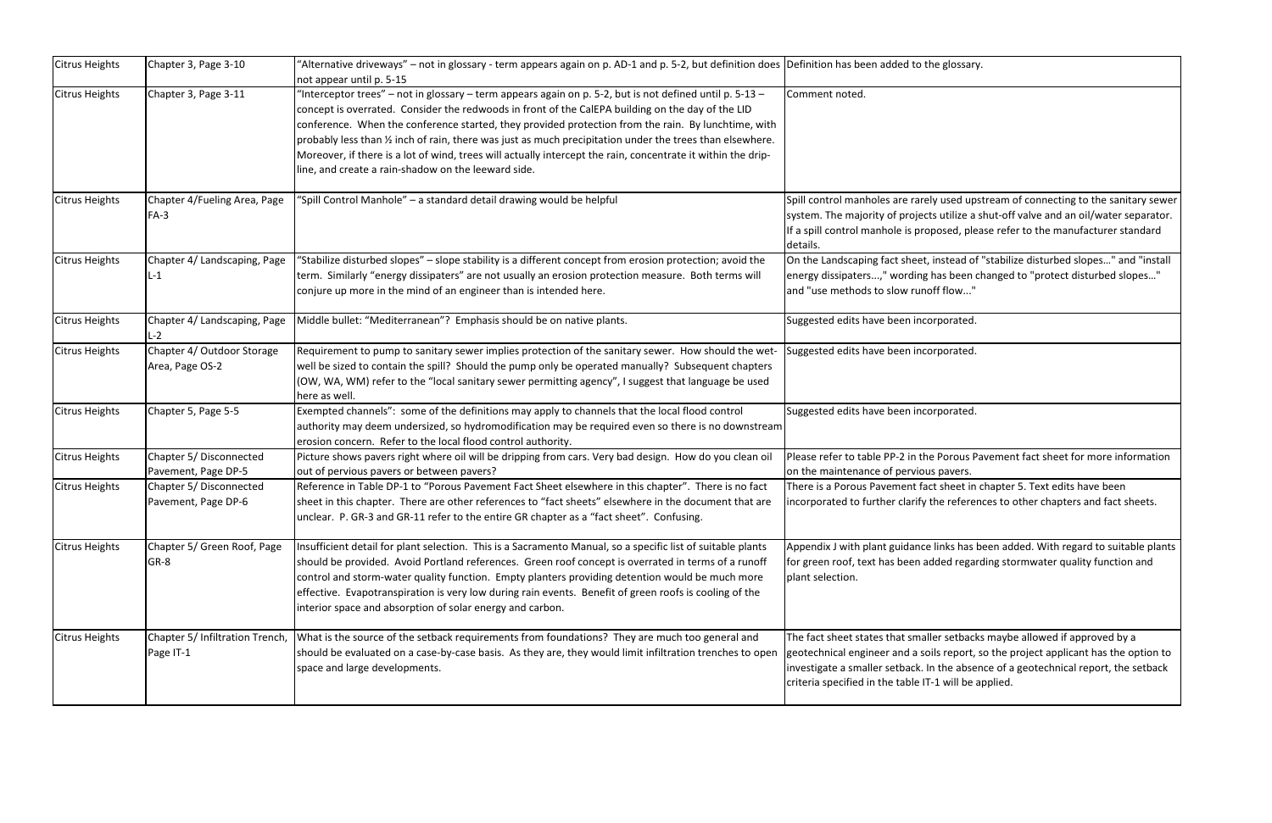| <b>Citrus Heights</b> | Chapter 3, Page 3-10                           | "Alternative driveways" – not in glossary - term appears again on p. AD-1 and p. 5-2, but definition does Definition has been added to the glossar<br>not appear until p. 5-15                                                                                                                                                                                                                                                                                                                                                                                                                           |                                                                                                                                                                                       |
|-----------------------|------------------------------------------------|----------------------------------------------------------------------------------------------------------------------------------------------------------------------------------------------------------------------------------------------------------------------------------------------------------------------------------------------------------------------------------------------------------------------------------------------------------------------------------------------------------------------------------------------------------------------------------------------------------|---------------------------------------------------------------------------------------------------------------------------------------------------------------------------------------|
| <b>Citrus Heights</b> | Chapter 3, Page 3-11                           | -Interceptor trees" – not in glossary – term appears again on p. 5-2, but is not defined until p. 5-13 –<br>concept is overrated. Consider the redwoods in front of the CalEPA building on the day of the LID<br>conference. When the conference started, they provided protection from the rain. By lunchtime, with<br>probably less than 1/2 inch of rain, there was just as much precipitation under the trees than elsewhere.<br>Moreover, if there is a lot of wind, trees will actually intercept the rain, concentrate it within the drip-<br>line, and create a rain-shadow on the leeward side. | Comment noted.                                                                                                                                                                        |
| <b>Citrus Heights</b> | Chapter 4/Fueling Area, Page<br>$FA-3$         | "Spill Control Manhole" - a standard detail drawing would be helpful                                                                                                                                                                                                                                                                                                                                                                                                                                                                                                                                     | Spill control manholes are rarely used up<br>system. The majority of projects utilize a<br>If a spill control manhole is proposed, ple<br>details.                                    |
| Citrus Heights        | Chapter 4/ Landscaping, Page<br>$L-1$          | "Stabilize disturbed slopes" - slope stability is a different concept from erosion protection; avoid the<br>term. Similarly "energy dissipaters" are not usually an erosion protection measure. Both terms will<br>conjure up more in the mind of an engineer than is intended here.                                                                                                                                                                                                                                                                                                                     | On the Landscaping fact sheet, instead of<br>energy dissipaters," wording has been<br>and "use methods to slow runoff flow"                                                           |
| <b>Citrus Heights</b> | Chapter 4/ Landscaping, Page<br>L-2            | Middle bullet: "Mediterranean"? Emphasis should be on native plants.                                                                                                                                                                                                                                                                                                                                                                                                                                                                                                                                     | Suggested edits have been incorporated.                                                                                                                                               |
| <b>Citrus Heights</b> | Chapter 4/ Outdoor Storage<br>Area, Page OS-2  | Requirement to pump to sanitary sewer implies protection of the sanitary sewer. How should the wet-<br>well be sized to contain the spill? Should the pump only be operated manually? Subsequent chapters<br>(OW, WA, WM) refer to the "local sanitary sewer permitting agency", I suggest that language be used<br>here as well.                                                                                                                                                                                                                                                                        | Suggested edits have been incorporated.                                                                                                                                               |
| <b>Citrus Heights</b> | Chapter 5, Page 5-5                            | Exempted channels": some of the definitions may apply to channels that the local flood control<br>authority may deem undersized, so hydromodification may be required even so there is no downstream<br>erosion concern. Refer to the local flood control authority.                                                                                                                                                                                                                                                                                                                                     | Suggested edits have been incorporated.                                                                                                                                               |
| <b>Citrus Heights</b> | Chapter 5/ Disconnected<br>Pavement, Page DP-5 | Picture shows pavers right where oil will be dripping from cars. Very bad design. How do you clean oil<br>out of pervious pavers or between pavers?                                                                                                                                                                                                                                                                                                                                                                                                                                                      | Please refer to table PP-2 in the Porous P<br>on the maintenance of pervious pavers.                                                                                                  |
| <b>Citrus Heights</b> | Chapter 5/ Disconnected<br>Pavement, Page DP-6 | Reference in Table DP-1 to "Porous Pavement Fact Sheet elsewhere in this chapter". There is no fact<br>sheet in this chapter. There are other references to "fact sheets" elsewhere in the document that are<br>unclear. P. GR-3 and GR-11 refer to the entire GR chapter as a "fact sheet". Confusing.                                                                                                                                                                                                                                                                                                  | There is a Porous Pavement fact sheet in<br>incorporated to further clarify the refere                                                                                                |
| <b>Citrus Heights</b> | Chapter 5/ Green Roof, Page<br>GR-8            | Insufficient detail for plant selection. This is a Sacramento Manual, so a specific list of suitable plants<br>should be provided. Avoid Portland references. Green roof concept is overrated in terms of a runoff<br>control and storm-water quality function. Empty planters providing detention would be much more<br>effective. Evapotranspiration is very low during rain events. Benefit of green roofs is cooling of the<br>interior space and absorption of solar energy and carbon.                                                                                                             | Appendix J with plant guidance links has<br>for green roof, text has been added rega<br>plant selection.                                                                              |
| <b>Citrus Heights</b> | Chapter 5/ Infiltration Trench,<br>Page IT-1   | What is the source of the setback requirements from foundations? They are much too general and<br>should be evaluated on a case-by-case basis. As they are, they would limit infiltration trenches to open<br>space and large developments.                                                                                                                                                                                                                                                                                                                                                              | The fact sheet states that smaller setbacl<br>geotechnical engineer and a soils report,<br>investigate a smaller setback. In the abse<br>criteria specified in the table IT-1 will be |

e glossary.

y used upstream of connecting to the sanitary sewer s utilize a shut-off valve and an oil/water separator. oosed, please refer to the manufacturer standard

instead of "stabilize disturbed slopes..." and "install has been changed to "protect disturbed slopes..." ff flow..."

rporated.

rporated.

Porous Pavement fact sheet for more information pavers.

t sheet in chapter 5. Text edits have been he references to other chapters and fact sheets.

links has been added. With regard to suitable plants dded regarding stormwater quality function and

er setbacks maybe allowed if approved by a ils report, so the project applicant has the option to ithe absence of a geotechnical report, the setback -1 will be applied.